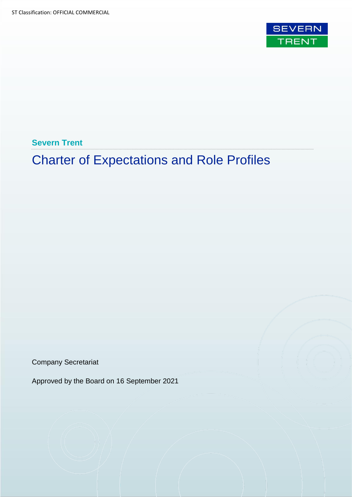

**Severn Trent**

# Charter of Expectations and Role Profiles

Company Secretariat

Approved by the Board on 16 September 2021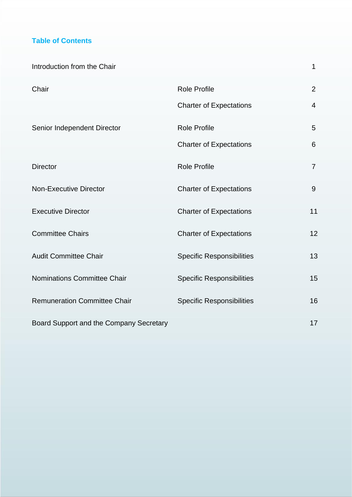# **Table of Contents**

| Introduction from the Chair             |                                  | 1              |
|-----------------------------------------|----------------------------------|----------------|
| Chair                                   | <b>Role Profile</b>              | $\overline{2}$ |
|                                         | <b>Charter of Expectations</b>   | $\overline{4}$ |
| Senior Independent Director             | <b>Role Profile</b>              | 5              |
|                                         | <b>Charter of Expectations</b>   | 6              |
| <b>Director</b>                         | <b>Role Profile</b>              | $\overline{7}$ |
| <b>Non-Executive Director</b>           | <b>Charter of Expectations</b>   | 9              |
| <b>Executive Director</b>               | <b>Charter of Expectations</b>   | 11             |
| <b>Committee Chairs</b>                 | <b>Charter of Expectations</b>   | 12             |
| <b>Audit Committee Chair</b>            | <b>Specific Responsibilities</b> | 13             |
| <b>Nominations Committee Chair</b>      | <b>Specific Responsibilities</b> | 15             |
| <b>Remuneration Committee Chair</b>     | <b>Specific Responsibilities</b> | 16             |
| Board Support and the Company Secretary |                                  | 17             |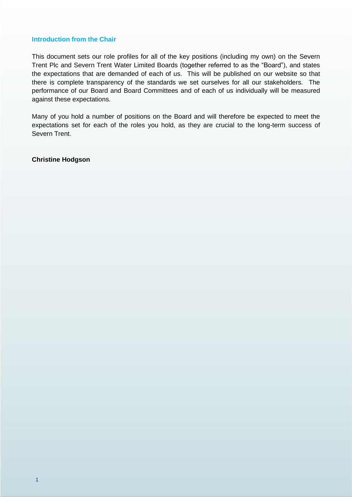#### **Introduction from the Chair**

This document sets our role profiles for all of the key positions (including my own) on the Severn Trent Plc and Severn Trent Water Limited Boards (together referred to as the "Board"), and states the expectations that are demanded of each of us. This will be published on our website so that there is complete transparency of the standards we set ourselves for all our stakeholders. The performance of our Board and Board Committees and of each of us individually will be measured against these expectations.

Many of you hold a number of positions on the Board and will therefore be expected to meet the expectations set for each of the roles you hold, as they are crucial to the long-term success of Severn Trent.

**Christine Hodgson**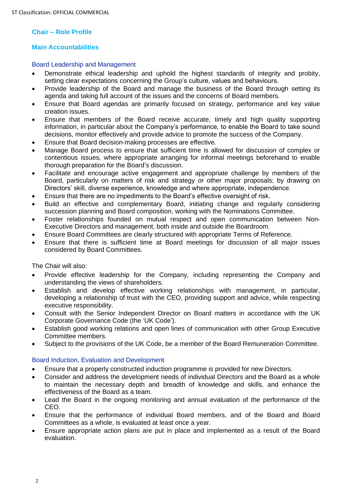# **Chair – Role Profile**

#### **Main Accountabilities**

#### Board Leadership and Management

- Demonstrate ethical leadership and uphold the highest standards of integrity and probity, setting clear expectations concerning the Group's culture, values and behaviours.
- Provide leadership of the Board and manage the business of the Board through setting its agenda and taking full account of the issues and the concerns of Board members.
- Ensure that Board agendas are primarily focused on strategy, performance and key value creation issues.
- Ensure that members of the Board receive accurate, timely and high quality supporting information, in particular about the Company's performance, to enable the Board to take sound decisions, monitor effectively and provide advice to promote the success of the Company.
- Ensure that Board decision-making processes are effective.
- Manage Board process to ensure that sufficient time is allowed for discussion of complex or contentious issues, where appropriate arranging for informal meetings beforehand to enable thorough preparation for the Board's discussion.
- Facilitate and encourage active engagement and appropriate challenge by members of the Board, particularly on matters of risk and strategy or other major proposals; by drawing on Directors' skill, diverse experience, knowledge and where appropriate, independence.
- Ensure that there are no impediments to the Board's effective oversight of risk.
- Build an effective and complementary Board, initiating change and regularly considering succession planning and Board composition, working with the Nominations Committee.
- Foster relationships founded on mutual respect and open communication between Non-Executive Directors and management, both inside and outside the Boardroom.
- Ensure Board Committees are clearly structured with appropriate Terms of Reference.
- Ensure that there is sufficient time at Board meetings for discussion of all major issues considered by Board Committees.

The Chair will also:

- Provide effective leadership for the Company, including representing the Company and understanding the views of shareholders.
- Establish and develop effective working relationships with management, in particular, developing a relationship of trust with the CEO, providing support and advice, while respecting executive responsibility.
- Consult with the Senior Independent Director on Board matters in accordance with the UK Corporate Governance Code (the 'UK Code').
- Establish good working relations and open lines of communication with other Group Executive Committee members.
- Subject to the provisions of the UK Code, be a member of the Board Remuneration Committee.

#### Board Induction, Evaluation and Development

- Ensure that a properly constructed induction programme is provided for new Directors.
- Consider and address the development needs of individual Directors and the Board as a whole to maintain the necessary depth and breadth of knowledge and skills, and enhance the effectiveness of the Board as a team.
- Lead the Board in the ongoing monitoring and annual evaluation of the performance of the CEO.
- Ensure that the performance of individual Board members, and of the Board and Board Committees as a whole, is evaluated at least once a year.
- Ensure appropriate action plans are put in place and implemented as a result of the Board evaluation.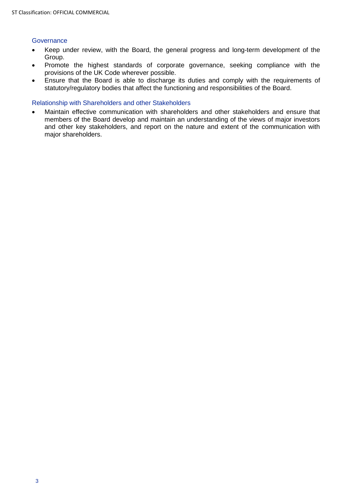#### **Governance**

- Keep under review, with the Board, the general progress and long-term development of the Group.
- Promote the highest standards of corporate governance, seeking compliance with the provisions of the UK Code wherever possible.
- Ensure that the Board is able to discharge its duties and comply with the requirements of statutory/regulatory bodies that affect the functioning and responsibilities of the Board.

#### Relationship with Shareholders and other Stakeholders

• Maintain effective communication with shareholders and other stakeholders and ensure that members of the Board develop and maintain an understanding of the views of major investors and other key stakeholders, and report on the nature and extent of the communication with major shareholders.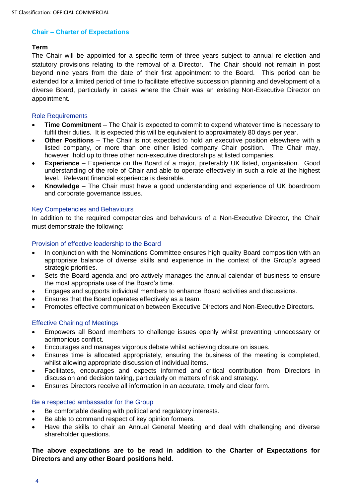#### **Chair – Charter of Expectations**

#### **Term**

The Chair will be appointed for a specific term of three years subject to annual re-election and statutory provisions relating to the removal of a Director. The Chair should not remain in post beyond nine years from the date of their first appointment to the Board. This period can be extended for a limited period of time to facilitate effective succession planning and development of a diverse Board, particularly in cases where the Chair was an existing Non-Executive Director on appointment.

#### Role Requirements

- **Time Commitment** The Chair is expected to commit to expend whatever time is necessary to fulfil their duties. It is expected this will be equivalent to approximately 80 days per year.
- **Other Positions**  The Chair is not expected to hold an executive position elsewhere with a listed company, or more than one other listed company Chair position. The Chair may, however, hold up to three other non-executive directorships at listed companies.
- **Experience** Experience on the Board of a major, preferably UK listed, organisation. Good understanding of the role of Chair and able to operate effectively in such a role at the highest level. Relevant financial experience is desirable.
- **Knowledge** The Chair must have a good understanding and experience of UK boardroom and corporate governance issues.

#### Key Competencies and Behaviours

In addition to the required competencies and behaviours of a Non-Executive Director, the Chair must demonstrate the following:

#### Provision of effective leadership to the Board

- In conjunction with the Nominations Committee ensures high quality Board composition with an appropriate balance of diverse skills and experience in the context of the Group's agreed strategic priorities.
- Sets the Board agenda and pro-actively manages the annual calendar of business to ensure the most appropriate use of the Board's time.
- Engages and supports individual members to enhance Board activities and discussions.
- Ensures that the Board operates effectively as a team.
- Promotes effective communication between Executive Directors and Non-Executive Directors.

#### Effective Chairing of Meetings

- Empowers all Board members to challenge issues openly whilst preventing unnecessary or acrimonious conflict.
- Encourages and manages vigorous debate whilst achieving closure on issues.
- Ensures time is allocated appropriately, ensuring the business of the meeting is completed, whilst allowing appropriate discussion of individual items.
- Facilitates, encourages and expects informed and critical contribution from Directors in discussion and decision taking, particularly on matters of risk and strategy.
- Ensures Directors receive all information in an accurate, timely and clear form.

#### Be a respected ambassador for the Group

- Be comfortable dealing with political and regulatory interests.
- Be able to command respect of key opinion formers.
- Have the skills to chair an Annual General Meeting and deal with challenging and diverse shareholder questions.

#### **The above expectations are to be read in addition to the Charter of Expectations for Directors and any other Board positions held.**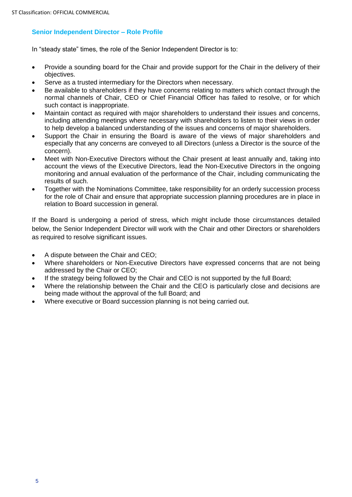# **Senior Independent Director – Role Profile**

In "steady state" times, the role of the Senior Independent Director is to:

- Provide a sounding board for the Chair and provide support for the Chair in the delivery of their objectives.
- Serve as a trusted intermediary for the Directors when necessary.
- Be available to shareholders if they have concerns relating to matters which contact through the normal channels of Chair, CEO or Chief Financial Officer has failed to resolve, or for which such contact is inappropriate.
- Maintain contact as required with major shareholders to understand their issues and concerns, including attending meetings where necessary with shareholders to listen to their views in order to help develop a balanced understanding of the issues and concerns of major shareholders.
- Support the Chair in ensuring the Board is aware of the views of major shareholders and especially that any concerns are conveyed to all Directors (unless a Director is the source of the concern).
- Meet with Non-Executive Directors without the Chair present at least annually and, taking into account the views of the Executive Directors, lead the Non-Executive Directors in the ongoing monitoring and annual evaluation of the performance of the Chair, including communicating the results of such.
- Together with the Nominations Committee, take responsibility for an orderly succession process for the role of Chair and ensure that appropriate succession planning procedures are in place in relation to Board succession in general.

If the Board is undergoing a period of stress, which might include those circumstances detailed below, the Senior Independent Director will work with the Chair and other Directors or shareholders as required to resolve significant issues.

- A dispute between the Chair and CEO;
- Where shareholders or Non-Executive Directors have expressed concerns that are not being addressed by the Chair or CEO;
- If the strategy being followed by the Chair and CEO is not supported by the full Board;
- Where the relationship between the Chair and the CEO is particularly close and decisions are being made without the approval of the full Board; and
- Where executive or Board succession planning is not being carried out.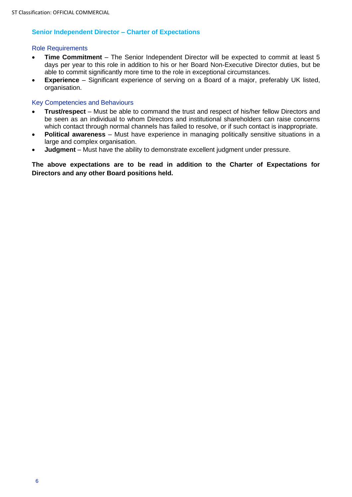# **Senior Independent Director – Charter of Expectations**

#### Role Requirements

- **Time Commitment** The Senior Independent Director will be expected to commit at least 5 days per year to this role in addition to his or her Board Non-Executive Director duties, but be able to commit significantly more time to the role in exceptional circumstances.
- **Experience** Significant experience of serving on a Board of a major, preferably UK listed, organisation.

#### Key Competencies and Behaviours

- **Trust/respect** Must be able to command the trust and respect of his/her fellow Directors and be seen as an individual to whom Directors and institutional shareholders can raise concerns which contact through normal channels has failed to resolve, or if such contact is inappropriate.
- **Political awareness** Must have experience in managing politically sensitive situations in a large and complex organisation.
- **Judgment** Must have the ability to demonstrate excellent judgment under pressure.

**The above expectations are to be read in addition to the Charter of Expectations for Directors and any other Board positions held.**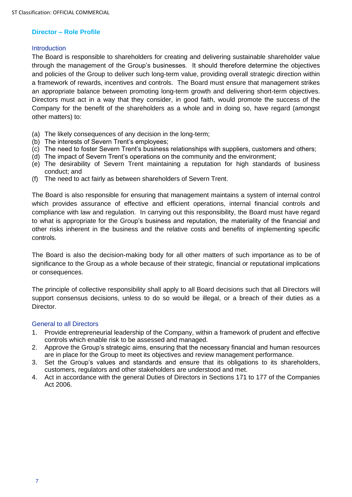#### **Director – Role Profile**

#### **Introduction**

The Board is responsible to shareholders for creating and delivering sustainable shareholder value through the management of the Group's businesses. It should therefore determine the objectives and policies of the Group to deliver such long-term value, providing overall strategic direction within a framework of rewards, incentives and controls. The Board must ensure that management strikes an appropriate balance between promoting long-term growth and delivering short-term objectives. Directors must act in a way that they consider, in good faith, would promote the success of the Company for the benefit of the shareholders as a whole and in doing so, have regard (amongst other matters) to:

- (a) The likely consequences of any decision in the long-term;
- (b) The interests of Severn Trent's employees;
- (c) The need to foster Severn Trent's business relationships with suppliers, customers and others;
- (d) The impact of Severn Trent's operations on the community and the environment;
- (e) The desirability of Severn Trent maintaining a reputation for high standards of business conduct; and
- (f) The need to act fairly as between shareholders of Severn Trent.

The Board is also responsible for ensuring that management maintains a system of internal control which provides assurance of effective and efficient operations, internal financial controls and compliance with law and regulation. In carrying out this responsibility, the Board must have regard to what is appropriate for the Group's business and reputation, the materiality of the financial and other risks inherent in the business and the relative costs and benefits of implementing specific controls.

The Board is also the decision-making body for all other matters of such importance as to be of significance to the Group as a whole because of their strategic, financial or reputational implications or consequences.

The principle of collective responsibility shall apply to all Board decisions such that all Directors will support consensus decisions, unless to do so would be illegal, or a breach of their duties as a Director.

#### General to all Directors

- 1. Provide entrepreneurial leadership of the Company, within a framework of prudent and effective controls which enable risk to be assessed and managed.
- 2. Approve the Group's strategic aims, ensuring that the necessary financial and human resources are in place for the Group to meet its objectives and review management performance.
- 3. Set the Group's values and standards and ensure that its obligations to its shareholders, customers, regulators and other stakeholders are understood and met.
- 4. Act in accordance with the general Duties of Directors in Sections 171 to 177 of the Companies Act 2006.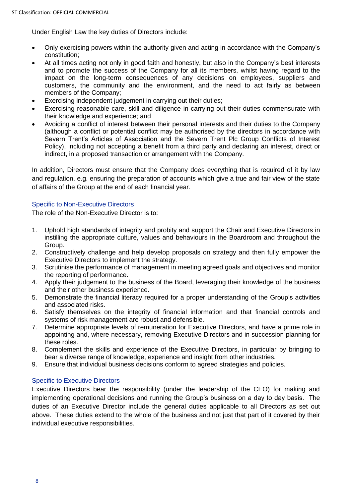Under English Law the key duties of Directors include:

- Only exercising powers within the authority given and acting in accordance with the Company's constitution;
- At all times acting not only in good faith and honestly, but also in the Company's best interests and to promote the success of the Company for all its members, whilst having regard to the impact on the long-term consequences of any decisions on employees, suppliers and customers, the community and the environment, and the need to act fairly as between members of the Company;
- Exercising independent judgement in carrying out their duties;
- Exercising reasonable care, skill and diligence in carrying out their duties commensurate with their knowledge and experience; and
- Avoiding a conflict of interest between their personal interests and their duties to the Company (although a conflict or potential conflict may be authorised by the directors in accordance with Severn Trent's Articles of Association and the Severn Trent Plc Group Conflicts of Interest Policy), including not accepting a benefit from a third party and declaring an interest, direct or indirect, in a proposed transaction or arrangement with the Company.

In addition, Directors must ensure that the Company does everything that is required of it by law and regulation, e.g. ensuring the preparation of accounts which give a true and fair view of the state of affairs of the Group at the end of each financial year.

# Specific to Non-Executive Directors

The role of the Non-Executive Director is to:

- 1. Uphold high standards of integrity and probity and support the Chair and Executive Directors in instilling the appropriate culture, values and behaviours in the Boardroom and throughout the Group.
- 2. Constructively challenge and help develop proposals on strategy and then fully empower the Executive Directors to implement the strategy.
- 3. Scrutinise the performance of management in meeting agreed goals and objectives and monitor the reporting of performance.
- 4. Apply their judgement to the business of the Board, leveraging their knowledge of the business and their other business experience.
- 5. Demonstrate the financial literacy required for a proper understanding of the Group's activities and associated risks.
- 6. Satisfy themselves on the integrity of financial information and that financial controls and systems of risk management are robust and defensible.
- 7. Determine appropriate levels of remuneration for Executive Directors, and have a prime role in appointing and, where necessary, removing Executive Directors and in succession planning for these roles.
- 8. Complement the skills and experience of the Executive Directors, in particular by bringing to bear a diverse range of knowledge, experience and insight from other industries.
- 9. Ensure that individual business decisions conform to agreed strategies and policies.

# Specific to Executive Directors

Executive Directors bear the responsibility (under the leadership of the CEO) for making and implementing operational decisions and running the Group's business on a day to day basis. The duties of an Executive Director include the general duties applicable to all Directors as set out above. These duties extend to the whole of the business and not just that part of it covered by their individual executive responsibilities.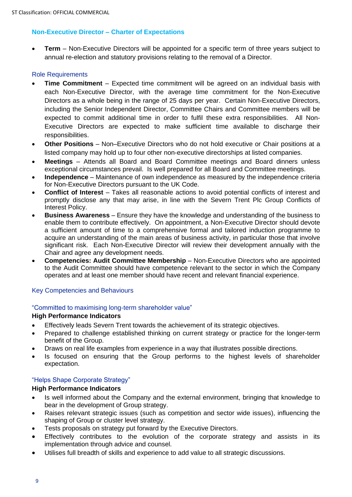# **Non-Executive Director – Charter of Expectations**

• **Term** – Non-Executive Directors will be appointed for a specific term of three years subject to annual re-election and statutory provisions relating to the removal of a Director.

# Role Requirements

- **Time Commitment** Expected time commitment will be agreed on an individual basis with each Non-Executive Director, with the average time commitment for the Non-Executive Directors as a whole being in the range of 25 days per year. Certain Non-Executive Directors, including the Senior Independent Director, Committee Chairs and Committee members will be expected to commit additional time in order to fulfil these extra responsibilities. All Non-Executive Directors are expected to make sufficient time available to discharge their responsibilities.
- **Other Positions** Non–Executive Directors who do not hold executive or Chair positions at a listed company may hold up to four other non-executive directorships at listed companies.
- **Meetings** Attends all Board and Board Committee meetings and Board dinners unless exceptional circumstances prevail. Is well prepared for all Board and Committee meetings.
- **Independence**  Maintenance of own independence as measured by the independence criteria for Non-Executive Directors pursuant to the UK Code.
- **Conflict of Interest** Takes all reasonable actions to avoid potential conflicts of interest and promptly disclose any that may arise, in line with the Severn Trent Plc Group Conflicts of Interest Policy.
- **Business Awareness** Ensure they have the knowledge and understanding of the business to enable them to contribute effectively. On appointment, a Non-Executive Director should devote a sufficient amount of time to a comprehensive formal and tailored induction programme to acquire an understanding of the main areas of business activity, in particular those that involve significant risk. Each Non-Executive Director will review their development annually with the Chair and agree any development needs.
- **Competencies: Audit Committee Membership**  Non-Executive Directors who are appointed to the Audit Committee should have competence relevant to the sector in which the Company operates and at least one member should have recent and relevant financial experience.

#### Key Competencies and Behaviours

#### "Committed to maximising long-term shareholder value"

#### **High Performance Indicators**

- Effectively leads Severn Trent towards the achievement of its strategic objectives.
- Prepared to challenge established thinking on current strategy or practice for the longer-term benefit of the Group.
- Draws on real life examples from experience in a way that illustrates possible directions.
- Is focused on ensuring that the Group performs to the highest levels of shareholder expectation.

# "Helps Shape Corporate Strategy"

#### **High Performance Indicators**

- Is well informed about the Company and the external environment, bringing that knowledge to bear in the development of Group strategy.
- Raises relevant strategic issues (such as competition and sector wide issues), influencing the shaping of Group or cluster level strategy.
- Tests proposals on strategy put forward by the Executive Directors.
- Effectively contributes to the evolution of the corporate strategy and assists in its implementation through advice and counsel.
- Utilises full breadth of skills and experience to add value to all strategic discussions.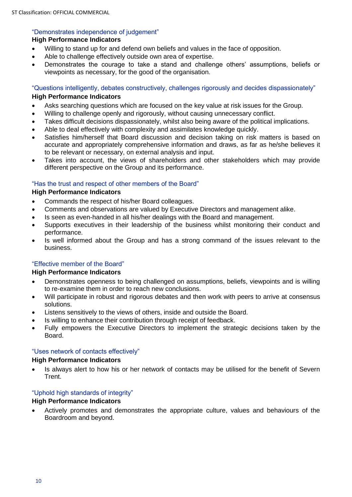# "Demonstrates independence of judgement"

# **High Performance Indicators**

- Willing to stand up for and defend own beliefs and values in the face of opposition.
- Able to challenge effectively outside own area of expertise.
- Demonstrates the courage to take a stand and challenge others' assumptions, beliefs or viewpoints as necessary, for the good of the organisation.

"Questions intelligently, debates constructively, challenges rigorously and decides dispassionately"

# **High Performance Indicators**

- Asks searching questions which are focused on the key value at risk issues for the Group.
- Willing to challenge openly and rigorously, without causing unnecessary conflict.
- Takes difficult decisions dispassionately, whilst also being aware of the political implications.
- Able to deal effectively with complexity and assimilates knowledge quickly.
- Satisfies him/herself that Board discussion and decision taking on risk matters is based on accurate and appropriately comprehensive information and draws, as far as he/she believes it to be relevant or necessary, on external analysis and input.
- Takes into account, the views of shareholders and other stakeholders which may provide different perspective on the Group and its performance.

# "Has the trust and respect of other members of the Board"

## **High Performance Indicators**

- Commands the respect of his/her Board colleagues.
- Comments and observations are valued by Executive Directors and management alike.
- Is seen as even-handed in all his/her dealings with the Board and management.
- Supports executives in their leadership of the business whilst monitoring their conduct and performance.
- Is well informed about the Group and has a strong command of the issues relevant to the business.

# "Effective member of the Board"

#### **High Performance Indicators**

- Demonstrates openness to being challenged on assumptions, beliefs, viewpoints and is willing to re-examine them in order to reach new conclusions.
- Will participate in robust and rigorous debates and then work with peers to arrive at consensus solutions.
- Listens sensitively to the views of others, inside and outside the Board.
- Is willing to enhance their contribution through receipt of feedback.
- Fully empowers the Executive Directors to implement the strategic decisions taken by the Board.

# "Uses network of contacts effectively"

#### **High Performance Indicators**

• Is always alert to how his or her network of contacts may be utilised for the benefit of Severn Trent.

# "Uphold high standards of integrity"

#### **High Performance Indicators**

• Actively promotes and demonstrates the appropriate culture, values and behaviours of the Boardroom and beyond.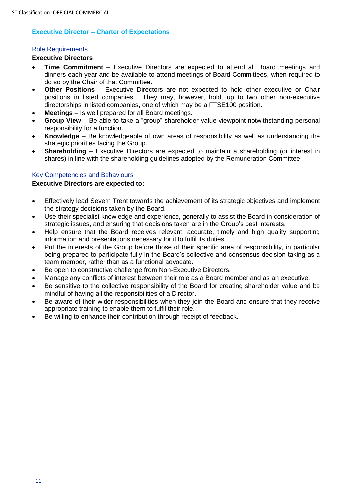# **Executive Director – Charter of Expectations**

#### Role Requirements

#### **Executive Directors**

- **Time Commitment** Executive Directors are expected to attend all Board meetings and dinners each year and be available to attend meetings of Board Committees, when required to do so by the Chair of that Committee.
- **Other Positions**  Executive Directors are not expected to hold other executive or Chair positions in listed companies. They may, however, hold, up to two other non-executive directorships in listed companies, one of which may be a FTSE100 position.
- **Meetings** Is well prepared for all Board meetings.
- **Group View** Be able to take a "group" shareholder value viewpoint notwithstanding personal responsibility for a function.
- **Knowledge** Be knowledgeable of own areas of responsibility as well as understanding the strategic priorities facing the Group.
- **Shareholding** Executive Directors are expected to maintain a shareholding (or interest in shares) in line with the shareholding guidelines adopted by the Remuneration Committee.

# Key Competencies and Behaviours

#### **Executive Directors are expected to:**

- Effectively lead Severn Trent towards the achievement of its strategic objectives and implement the strategy decisions taken by the Board.
- Use their specialist knowledge and experience, generally to assist the Board in consideration of strategic issues, and ensuring that decisions taken are in the Group's best interests.
- Help ensure that the Board receives relevant, accurate, timely and high quality supporting information and presentations necessary for it to fulfil its duties.
- Put the interests of the Group before those of their specific area of responsibility, in particular being prepared to participate fully in the Board's collective and consensus decision taking as a team member, rather than as a functional advocate.
- Be open to constructive challenge from Non-Executive Directors.
- Manage any conflicts of interest between their role as a Board member and as an executive.
- Be sensitive to the collective responsibility of the Board for creating shareholder value and be mindful of having all the responsibilities of a Director.
- Be aware of their wider responsibilities when they join the Board and ensure that they receive appropriate training to enable them to fulfil their role.
- Be willing to enhance their contribution through receipt of feedback.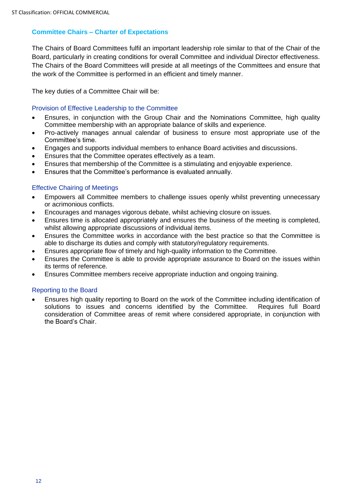# **Committee Chairs – Charter of Expectations**

The Chairs of Board Committees fulfil an important leadership role similar to that of the Chair of the Board, particularly in creating conditions for overall Committee and individual Director effectiveness. The Chairs of the Board Committees will preside at all meetings of the Committees and ensure that the work of the Committee is performed in an efficient and timely manner.

The key duties of a Committee Chair will be:

# Provision of Effective Leadership to the Committee

- Ensures, in conjunction with the Group Chair and the Nominations Committee, high quality Committee membership with an appropriate balance of skills and experience.
- Pro-actively manages annual calendar of business to ensure most appropriate use of the Committee's time.
- Engages and supports individual members to enhance Board activities and discussions.
- Ensures that the Committee operates effectively as a team.
- Ensures that membership of the Committee is a stimulating and enjoyable experience.
- Ensures that the Committee's performance is evaluated annually.

# Effective Chairing of Meetings

- Empowers all Committee members to challenge issues openly whilst preventing unnecessary or acrimonious conflicts.
- Encourages and manages vigorous debate, whilst achieving closure on issues.
- Ensures time is allocated appropriately and ensures the business of the meeting is completed, whilst allowing appropriate discussions of individual items.
- Ensures the Committee works in accordance with the best practice so that the Committee is able to discharge its duties and comply with statutory/regulatory requirements.
- Ensures appropriate flow of timely and high-quality information to the Committee.
- Ensures the Committee is able to provide appropriate assurance to Board on the issues within its terms of reference.
- Ensures Committee members receive appropriate induction and ongoing training.

#### Reporting to the Board

• Ensures high quality reporting to Board on the work of the Committee including identification of solutions to issues and concerns identified by the Committee. Requires full Board consideration of Committee areas of remit where considered appropriate, in conjunction with the Board's Chair.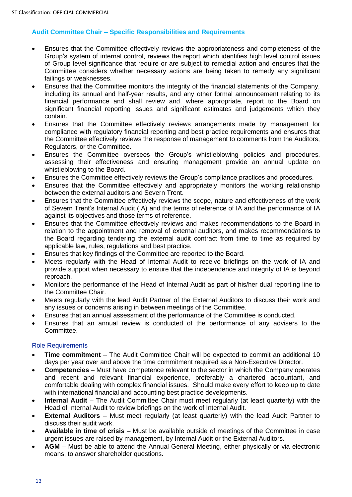# **Audit Committee Chair – Specific Responsibilities and Requirements**

- Ensures that the Committee effectively reviews the appropriateness and completeness of the Group's system of internal control, reviews the report which identifies high level control issues of Group level significance that require or are subject to remedial action and ensures that the Committee considers whether necessary actions are being taken to remedy any significant failings or weaknesses.
- Ensures that the Committee monitors the integrity of the financial statements of the Company, including its annual and half-year results, and any other formal announcement relating to its financial performance and shall review and, where appropriate, report to the Board on significant financial reporting issues and significant estimates and judgements which they contain.
- Ensures that the Committee effectively reviews arrangements made by management for compliance with regulatory financial reporting and best practice requirements and ensures that the Committee effectively reviews the response of management to comments from the Auditors, Regulators, or the Committee.
- Ensures the Committee oversees the Group's whistleblowing policies and procedures, assessing their effectiveness and ensuring management provide an annual update on whistleblowing to the Board.
- Ensures the Committee effectively reviews the Group's compliance practices and procedures.
- Ensures that the Committee effectively and appropriately monitors the working relationship between the external auditors and Severn Trent.
- Ensures that the Committee effectively reviews the scope, nature and effectiveness of the work of Severn Trent's Internal Audit (IA) and the terms of reference of IA and the performance of IA against its objectives and those terms of reference.
- Ensures that the Committee effectively reviews and makes recommendations to the Board in relation to the appointment and removal of external auditors, and makes recommendations to the Board regarding tendering the external audit contract from time to time as required by applicable law, rules, regulations and best practice.
- Ensures that key findings of the Committee are reported to the Board.
- Meets regularly with the Head of Internal Audit to receive briefings on the work of IA and provide support when necessary to ensure that the independence and integrity of IA is beyond reproach.
- Monitors the performance of the Head of Internal Audit as part of his/her dual reporting line to the Committee Chair.
- Meets regularly with the lead Audit Partner of the External Auditors to discuss their work and any issues or concerns arising in between meetings of the Committee.
- Ensures that an annual assessment of the performance of the Committee is conducted.
- Ensures that an annual review is conducted of the performance of any advisers to the Committee.

#### Role Requirements

- **Time commitment** The Audit Committee Chair will be expected to commit an additional 10 days per year over and above the time commitment required as a Non-Executive Director.
- **Competencies** Must have competence relevant to the sector in which the Company operates and recent and relevant financial experience, preferably a chartered accountant, and comfortable dealing with complex financial issues. Should make every effort to keep up to date with international financial and accounting best practice developments.
- **Internal Audit** The Audit Committee Chair must meet regularly (at least quarterly) with the Head of Internal Audit to review briefings on the work of Internal Audit.
- **External Auditors** Must meet regularly (at least quarterly) with the lead Audit Partner to discuss their audit work.
- **Available in time of crisis** Must be available outside of meetings of the Committee in case urgent issues are raised by management, by Internal Audit or the External Auditors.
- **AGM** Must be able to attend the Annual General Meeting, either physically or via electronic means, to answer shareholder questions.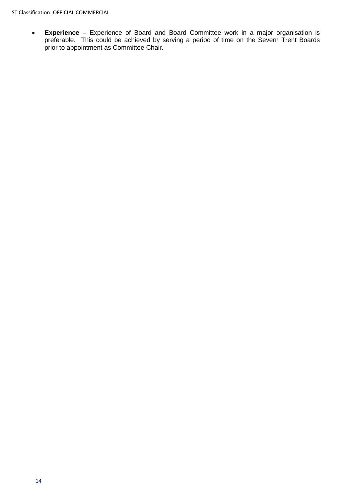• **Experience** – Experience of Board and Board Committee work in a major organisation is preferable. This could be achieved by serving a period of time on the Severn Trent Boards prior to appointment as Committee Chair.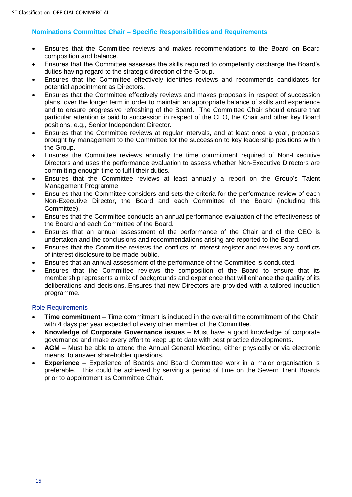# **Nominations Committee Chair – Specific Responsibilities and Requirements**

- Ensures that the Committee reviews and makes recommendations to the Board on Board composition and balance.
- Ensures that the Committee assesses the skills required to competently discharge the Board's duties having regard to the strategic direction of the Group.
- Ensures that the Committee effectively identifies reviews and recommends candidates for potential appointment as Directors.
- Ensures that the Committee effectively reviews and makes proposals in respect of succession plans, over the longer term in order to maintain an appropriate balance of skills and experience and to ensure progressive refreshing of the Board. The Committee Chair should ensure that particular attention is paid to succession in respect of the CEO, the Chair and other key Board positions, e.g., Senior Independent Director.
- Ensures that the Committee reviews at regular intervals, and at least once a year, proposals brought by management to the Committee for the succession to key leadership positions within the Group.
- Ensures the Committee reviews annually the time commitment required of Non-Executive Directors and uses the performance evaluation to assess whether Non-Executive Directors are committing enough time to fulfil their duties.
- Ensures that the Committee reviews at least annually a report on the Group's Talent Management Programme.
- Ensures that the Committee considers and sets the criteria for the performance review of each Non-Executive Director, the Board and each Committee of the Board (including this Committee).
- Ensures that the Committee conducts an annual performance evaluation of the effectiveness of the Board and each Committee of the Board.
- Ensures that an annual assessment of the performance of the Chair and of the CEO is undertaken and the conclusions and recommendations arising are reported to the Board.
- Ensures that the Committee reviews the conflicts of interest register and reviews any conflicts of interest disclosure to be made public.
- Ensures that an annual assessment of the performance of the Committee is conducted.
- Ensures that the Committee reviews the composition of the Board to ensure that its membership represents a mix of backgrounds and experience that will enhance the quality of its deliberations and decisions..Ensures that new Directors are provided with a tailored induction programme.

#### Role Requirements

- **Time commitment** Time commitment is included in the overall time commitment of the Chair, with 4 days per year expected of every other member of the Committee.
- **Knowledge of Corporate Governance issues** Must have a good knowledge of corporate governance and make every effort to keep up to date with best practice developments.
- **AGM** Must be able to attend the Annual General Meeting, either physically or via electronic means, to answer shareholder questions.
- **Experience** Experience of Boards and Board Committee work in a major organisation is preferable. This could be achieved by serving a period of time on the Severn Trent Boards prior to appointment as Committee Chair.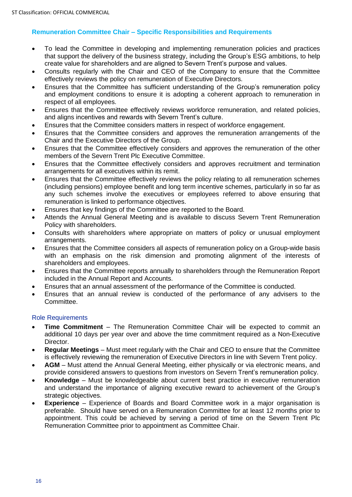# **Remuneration Committee Chair – Specific Responsibilities and Requirements**

- To lead the Committee in developing and implementing remuneration policies and practices that support the delivery of the business strategy, including the Group's ESG ambitions, to help create value for shareholders and are aligned to Severn Trent's purpose and values.
- Consults regularly with the Chair and CEO of the Company to ensure that the Committee effectively reviews the policy on remuneration of Executive Directors.
- Ensures that the Committee has sufficient understanding of the Group's remuneration policy and employment conditions to ensure it is adopting a coherent approach to remuneration in respect of all employees.
- Ensures that the Committee effectively reviews workforce remuneration, and related policies, and aligns incentives and rewards with Severn Trent's culture.
- Ensures that the Committee considers matters in respect of workforce engagement.
- Ensures that the Committee considers and approves the remuneration arrangements of the Chair and the Executive Directors of the Group.
- Ensures that the Committee effectively considers and approves the remuneration of the other members of the Severn Trent Plc Executive Committee.
- Ensures that the Committee effectively considers and approves recruitment and termination arrangements for all executives within its remit.
- Ensures that the Committee effectively reviews the policy relating to all remuneration schemes (including pensions) employee benefit and long term incentive schemes, particularly in so far as any such schemes involve the executives or employees referred to above ensuring that remuneration is linked to performance objectives.
- Ensures that key findings of the Committee are reported to the Board.
- Attends the Annual General Meeting and is available to discuss Severn Trent Remuneration Policy with shareholders.
- Consults with shareholders where appropriate on matters of policy or unusual employment arrangements.
- Ensures that the Committee considers all aspects of remuneration policy on a Group-wide basis with an emphasis on the risk dimension and promoting alignment of the interests of shareholders and employees.
- Ensures that the Committee reports annually to shareholders through the Remuneration Report included in the Annual Report and Accounts.
- Ensures that an annual assessment of the performance of the Committee is conducted.
- Ensures that an annual review is conducted of the performance of any advisers to the Committee.

#### Role Requirements

- **Time Commitment** The Remuneration Committee Chair will be expected to commit an additional 10 days per year over and above the time commitment required as a Non-Executive Director.
- **Regular Meetings** Must meet regularly with the Chair and CEO to ensure that the Committee is effectively reviewing the remuneration of Executive Directors in line with Severn Trent policy.
- **AGM** Must attend the Annual General Meeting, either physically or via electronic means, and provide considered answers to questions from investors on Severn Trent's remuneration policy.
- **Knowledge** Must be knowledgeable about current best practice in executive remuneration and understand the importance of aligning executive reward to achievement of the Group's strategic objectives.
- **Experience** Experience of Boards and Board Committee work in a major organisation is preferable. Should have served on a Remuneration Committee for at least 12 months prior to appointment. This could be achieved by serving a period of time on the Severn Trent Plc Remuneration Committee prior to appointment as Committee Chair.